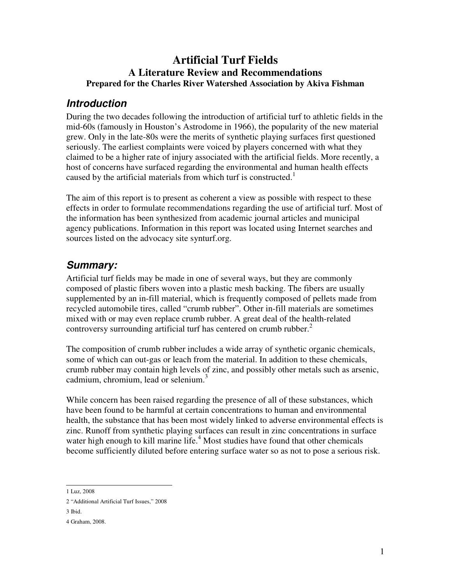### **Artificial Turf Fields A Literature Review and Recommendations Prepared for the Charles River Watershed Association by Akiva Fishman**

## **Introduction**

During the two decades following the introduction of artificial turf to athletic fields in the mid-60s (famously in Houston's Astrodome in 1966), the popularity of the new material grew. Only in the late-80s were the merits of synthetic playing surfaces first questioned seriously. The earliest complaints were voiced by players concerned with what they claimed to be a higher rate of injury associated with the artificial fields. More recently, a host of concerns have surfaced regarding the environmental and human health effects caused by the artificial materials from which turf is constructed.<sup>1</sup>

The aim of this report is to present as coherent a view as possible with respect to these effects in order to formulate recommendations regarding the use of artificial turf. Most of the information has been synthesized from academic journal articles and municipal agency publications. Information in this report was located using Internet searches and sources listed on the advocacy site synturf.org.

## **Summary:**

Artificial turf fields may be made in one of several ways, but they are commonly composed of plastic fibers woven into a plastic mesh backing. The fibers are usually supplemented by an in-fill material, which is frequently composed of pellets made from recycled automobile tires, called "crumb rubber". Other in-fill materials are sometimes mixed with or may even replace crumb rubber. A great deal of the health-related controversy surrounding artificial turf has centered on crumb rubber. $<sup>2</sup>$ </sup>

The composition of crumb rubber includes a wide array of synthetic organic chemicals, some of which can out-gas or leach from the material. In addition to these chemicals, crumb rubber may contain high levels of zinc, and possibly other metals such as arsenic, cadmium, chromium, lead or selenium. $\frac{3}{2}$ 

While concern has been raised regarding the presence of all of these substances, which have been found to be harmful at certain concentrations to human and environmental health, the substance that has been most widely linked to adverse environmental effects is zinc. Runoff from synthetic playing surfaces can result in zinc concentrations in surface water high enough to kill marine life.<sup>4</sup> Most studies have found that other chemicals become sufficiently diluted before entering surface water so as not to pose a serious risk.

 1 Luz, 2008

<sup>2 &</sup>quot;Additional Artificial Turf Issues," 2008

<sup>3</sup> Ibid.

<sup>4</sup> Graham, 2008.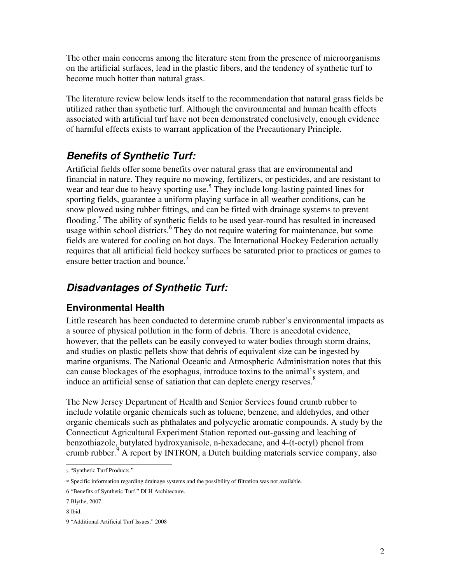The other main concerns among the literature stem from the presence of microorganisms on the artificial surfaces, lead in the plastic fibers, and the tendency of synthetic turf to become much hotter than natural grass.

The literature review below lends itself to the recommendation that natural grass fields be utilized rather than synthetic turf. Although the environmental and human health effects associated with artificial turf have not been demonstrated conclusively, enough evidence of harmful effects exists to warrant application of the Precautionary Principle.

## **Benefits of Synthetic Turf:**

Artificial fields offer some benefits over natural grass that are environmental and financial in nature. They require no mowing, fertilizers, or pesticides, and are resistant to wear and tear due to heavy sporting use.<sup>5</sup> They include long-lasting painted lines for sporting fields, guarantee a uniform playing surface in all weather conditions, can be snow plowed using rubber fittings, and can be fitted with drainage systems to prevent flooding.<sup>\*</sup> The ability of synthetic fields to be used year-round has resulted in increased usage within school districts.<sup>6</sup> They do not require watering for maintenance, but some fields are watered for cooling on hot days. The International Hockey Federation actually requires that all artificial field hockey surfaces be saturated prior to practices or games to ensure better traction and bounce.<sup>7</sup>

# **Disadvantages of Synthetic Turf:**

### **Environmental Health**

Little research has been conducted to determine crumb rubber's environmental impacts as a source of physical pollution in the form of debris. There is anecdotal evidence, however, that the pellets can be easily conveyed to water bodies through storm drains, and studies on plastic pellets show that debris of equivalent size can be ingested by marine organisms. The National Oceanic and Atmospheric Administration notes that this can cause blockages of the esophagus, introduce toxins to the animal's system, and induce an artificial sense of satiation that can deplete energy reserves.<sup>8</sup>

The New Jersey Department of Health and Senior Services found crumb rubber to include volatile organic chemicals such as toluene, benzene, and aldehydes, and other organic chemicals such as phthalates and polycyclic aromatic compounds. A study by the Connecticut Agricultural Experiment Station reported out-gassing and leaching of benzothiazole, butylated hydroxyanisole, n-hexadecane, and 4-(t-octyl) phenol from crumb rubber.<sup>9</sup> A report by INTRON, a Dutch building materials service company, also

 5 "Synthetic Turf Products."

<sup>∗</sup> Specific information regarding drainage systems and the possibility of filtration was not available.

<sup>6 &</sup>quot;Benefits of Synthetic Turf." DLH Architecture.

<sup>7</sup> Blythe, 2007.

<sup>8</sup> Ibid.

<sup>9 &</sup>quot;Additional Artificial Turf Issues," 2008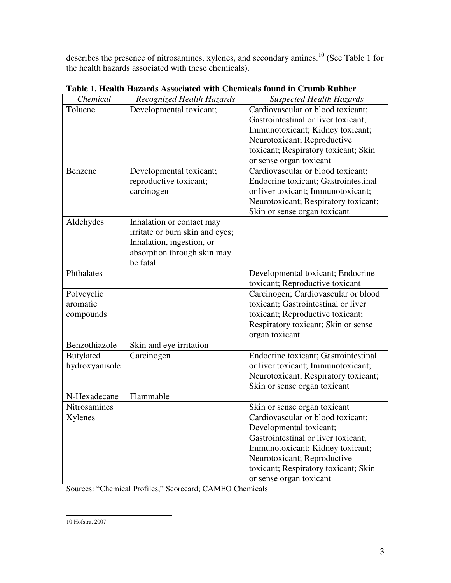describes the presence of nitrosamines, xylenes, and secondary amines.<sup>10</sup> (See Table 1 for the health hazards associated with these chemicals).

| Chemical            | Recognized Health Hazards       | <b>Suspected Health Hazards</b>      |
|---------------------|---------------------------------|--------------------------------------|
| Toluene             | Developmental toxicant;         | Cardiovascular or blood toxicant;    |
|                     |                                 | Gastrointestinal or liver toxicant;  |
|                     |                                 | Immunotoxicant; Kidney toxicant;     |
|                     |                                 | Neurotoxicant; Reproductive          |
|                     |                                 | toxicant; Respiratory toxicant; Skin |
|                     |                                 | or sense organ toxicant              |
| Benzene             | Developmental toxicant;         | Cardiovascular or blood toxicant;    |
|                     | reproductive toxicant;          | Endocrine toxicant; Gastrointestinal |
|                     | carcinogen                      | or liver toxicant; Immunotoxicant;   |
|                     |                                 | Neurotoxicant; Respiratory toxicant; |
|                     |                                 | Skin or sense organ toxicant         |
| Aldehydes           | Inhalation or contact may       |                                      |
|                     | irritate or burn skin and eyes; |                                      |
|                     | Inhalation, ingestion, or       |                                      |
|                     | absorption through skin may     |                                      |
|                     | be fatal                        |                                      |
| Phthalates          |                                 | Developmental toxicant; Endocrine    |
|                     |                                 | toxicant; Reproductive toxicant      |
| Polycyclic          |                                 | Carcinogen; Cardiovascular or blood  |
| aromatic            |                                 | toxicant; Gastrointestinal or liver  |
| compounds           |                                 | toxicant; Reproductive toxicant;     |
|                     |                                 | Respiratory toxicant; Skin or sense  |
|                     |                                 | organ toxicant                       |
| Benzothiazole       | Skin and eye irritation         |                                      |
| <b>Butylated</b>    | Carcinogen                      | Endocrine toxicant; Gastrointestinal |
| hydroxyanisole      |                                 | or liver toxicant; Immunotoxicant;   |
|                     |                                 | Neurotoxicant; Respiratory toxicant; |
|                     |                                 | Skin or sense organ toxicant         |
| N-Hexadecane        | Flammable                       |                                      |
| <b>Nitrosamines</b> |                                 | Skin or sense organ toxicant         |
| Xylenes             |                                 | Cardiovascular or blood toxicant;    |
|                     |                                 | Developmental toxicant;              |
|                     |                                 | Gastrointestinal or liver toxicant;  |
|                     |                                 | Immunotoxicant; Kidney toxicant;     |
|                     |                                 | Neurotoxicant; Reproductive          |
|                     |                                 | toxicant; Respiratory toxicant; Skin |
|                     |                                 | or sense organ toxicant              |

**Table 1. Health Hazards Associated with Chemicals found in Crumb Rubber** 

Sources: "Chemical Profiles," Scorecard; CAMEO Chemicals

 10 Hofstra, 2007.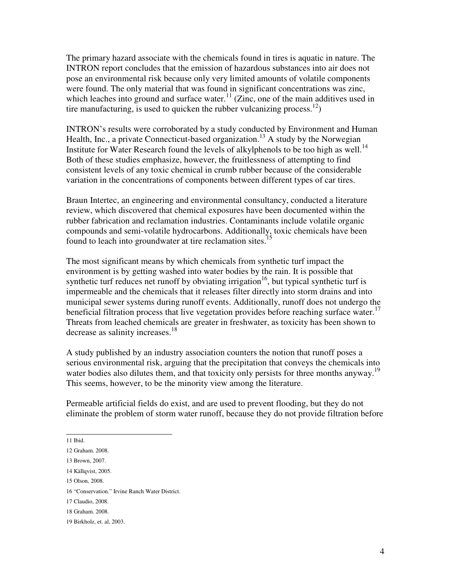The primary hazard associate with the chemicals found in tires is aquatic in nature. The INTRON report concludes that the emission of hazardous substances into air does not pose an environmental risk because only very limited amounts of volatile components were found. The only material that was found in significant concentrations was zinc, which leaches into ground and surface water.<sup>11</sup> (Zinc, one of the main additives used in tire manufacturing, is used to quicken the rubber vulcanizing process.<sup>12</sup>)

INTRON's results were corroborated by a study conducted by Environment and Human Health, Inc., a private Connecticut-based organization.<sup>13</sup> A study by the Norwegian Institute for Water Research found the levels of alkylphenols to be too high as well.<sup>14</sup> Both of these studies emphasize, however, the fruitlessness of attempting to find consistent levels of any toxic chemical in crumb rubber because of the considerable variation in the concentrations of components between different types of car tires.

Braun Intertec, an engineering and environmental consultancy, conducted a literature review, which discovered that chemical exposures have been documented within the rubber fabrication and reclamation industries. Contaminants include volatile organic compounds and semi-volatile hydrocarbons. Additionally, toxic chemicals have been found to leach into groundwater at tire reclamation sites.<sup>15</sup>

The most significant means by which chemicals from synthetic turf impact the environment is by getting washed into water bodies by the rain. It is possible that synthetic turf reduces net runoff by obviating irrigation<sup>16</sup>, but typical synthetic turf is impermeable and the chemicals that it releases filter directly into storm drains and into municipal sewer systems during runoff events. Additionally, runoff does not undergo the beneficial filtration process that live vegetation provides before reaching surface water.<sup>17</sup> Threats from leached chemicals are greater in freshwater, as toxicity has been shown to decrease as salinity increases.<sup>18</sup>

A study published by an industry association counters the notion that runoff poses a serious environmental risk, arguing that the precipitation that conveys the chemicals into water bodies also dilutes them, and that toxicity only persists for three months anyway.<sup>19</sup> This seems, however, to be the minority view among the literature.

Permeable artificial fields do exist, and are used to prevent flooding, but they do not eliminate the problem of storm water runoff, because they do not provide filtration before

11 Ibid.

<sup>12</sup> Graham. 2008.

<sup>13</sup> Brown, 2007.

<sup>14</sup> Källqvist, 2005.

<sup>15</sup> Olson, 2008.

<sup>16 &</sup>quot;Conservation." Irvine Ranch Water District.

<sup>17</sup> Claudio, 2008.

<sup>18</sup> Graham. 2008.

<sup>19</sup> Birkholz, et. al, 2003.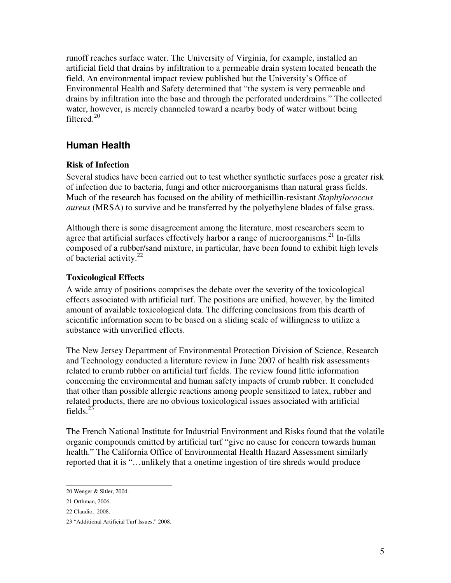runoff reaches surface water. The University of Virginia, for example, installed an artificial field that drains by infiltration to a permeable drain system located beneath the field. An environmental impact review published but the University's Office of Environmental Health and Safety determined that "the system is very permeable and drains by infiltration into the base and through the perforated underdrains." The collected water, however, is merely channeled toward a nearby body of water without being filtered.<sup>20</sup>

### **Human Health**

#### **Risk of Infection**

Several studies have been carried out to test whether synthetic surfaces pose a greater risk of infection due to bacteria, fungi and other microorganisms than natural grass fields. Much of the research has focused on the ability of methicillin-resistant *Staphylococcus aureus* (MRSA) to survive and be transferred by the polyethylene blades of false grass.

Although there is some disagreement among the literature, most researchers seem to agree that artificial surfaces effectively harbor a range of microorganisms.<sup>21</sup> In-fills composed of a rubber/sand mixture, in particular, have been found to exhibit high levels of bacterial activity. $^{22}$ 

#### **Toxicological Effects**

A wide array of positions comprises the debate over the severity of the toxicological effects associated with artificial turf. The positions are unified, however, by the limited amount of available toxicological data. The differing conclusions from this dearth of scientific information seem to be based on a sliding scale of willingness to utilize a substance with unverified effects.

The New Jersey Department of Environmental Protection Division of Science, Research and Technology conducted a literature review in June 2007 of health risk assessments related to crumb rubber on artificial turf fields. The review found little information concerning the environmental and human safety impacts of crumb rubber. It concluded that other than possible allergic reactions among people sensitized to latex, rubber and related products, there are no obvious toxicological issues associated with artificial fields.<sup>23</sup>

The French National Institute for Industrial Environment and Risks found that the volatile organic compounds emitted by artificial turf "give no cause for concern towards human health." The California Office of Environmental Health Hazard Assessment similarly reported that it is "…unlikely that a onetime ingestion of tire shreds would produce

 20 Wenger & Sitler, 2004.

<sup>21</sup> Orthman, 2006.

<sup>22</sup> Claudio, 2008.

<sup>23 &</sup>quot;Additional Artificial Turf Issues," 2008.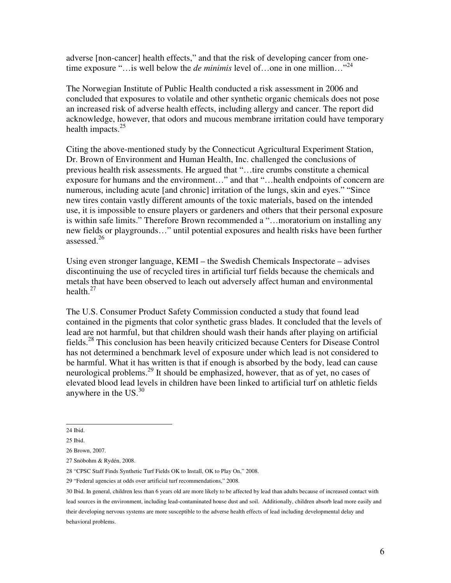adverse [non-cancer] health effects," and that the risk of developing cancer from onetime exposure "…is well below the *de minimis* level of…one in one million…"<sup>24</sup>

The Norwegian Institute of Public Health conducted a risk assessment in 2006 and concluded that exposures to volatile and other synthetic organic chemicals does not pose an increased risk of adverse health effects, including allergy and cancer. The report did acknowledge, however, that odors and mucous membrane irritation could have temporary health impacts. $25$ 

Citing the above-mentioned study by the Connecticut Agricultural Experiment Station, Dr. Brown of Environment and Human Health, Inc. challenged the conclusions of previous health risk assessments. He argued that "…tire crumbs constitute a chemical exposure for humans and the environment…" and that "…health endpoints of concern are numerous, including acute [and chronic] irritation of the lungs, skin and eyes." "Since new tires contain vastly different amounts of the toxic materials, based on the intended use, it is impossible to ensure players or gardeners and others that their personal exposure is within safe limits." Therefore Brown recommended a "…moratorium on installing any new fields or playgrounds…" until potential exposures and health risks have been further assessed.<sup>26</sup>

Using even stronger language, KEMI – the Swedish Chemicals Inspectorate – advises discontinuing the use of recycled tires in artificial turf fields because the chemicals and metals that have been observed to leach out adversely affect human and environmental health. $27$ 

The U.S. Consumer Product Safety Commission conducted a study that found lead contained in the pigments that color synthetic grass blades. It concluded that the levels of lead are not harmful, but that children should wash their hands after playing on artificial fields.<sup>28</sup> This conclusion has been heavily criticized because Centers for Disease Control has not determined a benchmark level of exposure under which lead is not considered to be harmful. What it has written is that if enough is absorbed by the body, lead can cause neurological problems.<sup>29</sup> It should be emphasized, however, that as of yet, no cases of elevated blood lead levels in children have been linked to artificial turf on athletic fields anywhere in the  $US^{30}$ .

 24 Ibid.

<sup>25</sup> Ibid.

<sup>26</sup> Brown, 2007.

<sup>27</sup> Snöbohm & Rydén, 2008.

<sup>28 &</sup>quot;CPSC Staff Finds Synthetic Turf Fields OK to Install, OK to Play On," 2008.

<sup>29 &</sup>quot;Federal agencies at odds over artificial turf recommendations," 2008.

<sup>30</sup> Ibid. In general, children less than 6 years old are more likely to be affected by lead than adults because of increased contact with lead sources in the environment, including lead-contaminated house dust and soil. Additionally, children absorb lead more easily and their developing nervous systems are more susceptible to the adverse health effects of lead including developmental delay and behavioral problems.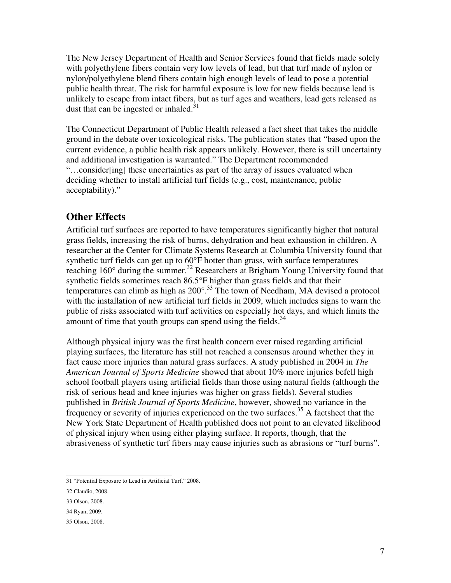The New Jersey Department of Health and Senior Services found that fields made solely with polyethylene fibers contain very low levels of lead, but that turf made of nylon or nylon/polyethylene blend fibers contain high enough levels of lead to pose a potential public health threat. The risk for harmful exposure is low for new fields because lead is unlikely to escape from intact fibers, but as turf ages and weathers, lead gets released as dust that can be ingested or inhaled. $31$ 

The Connecticut Department of Public Health released a fact sheet that takes the middle ground in the debate over toxicological risks. The publication states that "based upon the current evidence, a public health risk appears unlikely. However, there is still uncertainty and additional investigation is warranted." The Department recommended "…consider[ing] these uncertainties as part of the array of issues evaluated when deciding whether to install artificial turf fields (e.g., cost, maintenance, public acceptability)."

### **Other Effects**

Artificial turf surfaces are reported to have temperatures significantly higher that natural grass fields, increasing the risk of burns, dehydration and heat exhaustion in children. A researcher at the Center for Climate Systems Research at Columbia University found that synthetic turf fields can get up to 60°F hotter than grass, with surface temperatures reaching  $160^\circ$  during the summer.<sup>32</sup> Researchers at Brigham Young University found that synthetic fields sometimes reach 86.5°F higher than grass fields and that their temperatures can climb as high as  $200^{\circ}$ .<sup>33</sup> The town of Needham, MA devised a protocol with the installation of new artificial turf fields in 2009, which includes signs to warn the public of risks associated with turf activities on especially hot days, and which limits the amount of time that youth groups can spend using the fields. $34$ 

Although physical injury was the first health concern ever raised regarding artificial playing surfaces, the literature has still not reached a consensus around whether they in fact cause more injuries than natural grass surfaces. A study published in 2004 in *The American Journal of Sports Medicine* showed that about 10% more injuries befell high school football players using artificial fields than those using natural fields (although the risk of serious head and knee injuries was higher on grass fields). Several studies published in *British Journal of Sports Medicine*, however, showed no variance in the frequency or severity of injuries experienced on the two surfaces.<sup>35</sup> A factsheet that the New York State Department of Health published does not point to an elevated likelihood of physical injury when using either playing surface. It reports, though, that the abrasiveness of synthetic turf fibers may cause injuries such as abrasions or "turf burns".

 31 "Potential Exposure to Lead in Artificial Turf," 2008.

<sup>32</sup> Claudio, 2008.

<sup>33</sup> Olson, 2008.

<sup>34</sup> Ryan, 2009.

<sup>35</sup> Olson, 2008.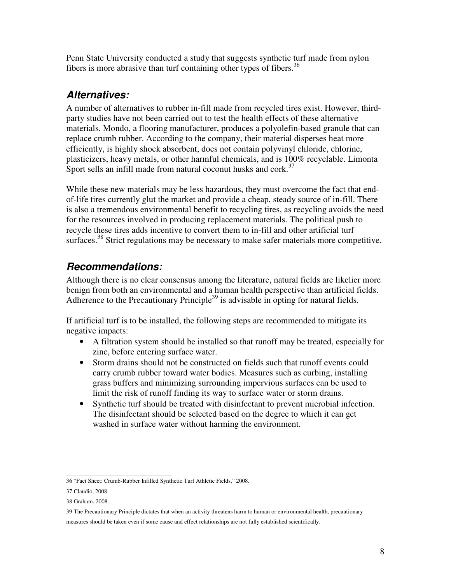Penn State University conducted a study that suggests synthetic turf made from nylon fibers is more abrasive than turf containing other types of fibers.<sup>36</sup>

# **Alternatives:**

A number of alternatives to rubber in-fill made from recycled tires exist. However, thirdparty studies have not been carried out to test the health effects of these alternative materials. Mondo, a flooring manufacturer, produces a polyolefin-based granule that can replace crumb rubber. According to the company, their material disperses heat more efficiently, is highly shock absorbent, does not contain polyvinyl chloride, chlorine, plasticizers, heavy metals, or other harmful chemicals, and is 100% recyclable. Limonta Sport sells an infill made from natural coconut husks and cork.<sup>37</sup>

While these new materials may be less hazardous, they must overcome the fact that endof-life tires currently glut the market and provide a cheap, steady source of in-fill. There is also a tremendous environmental benefit to recycling tires, as recycling avoids the need for the resources involved in producing replacement materials. The political push to recycle these tires adds incentive to convert them to in-fill and other artificial turf surfaces.<sup>38</sup> Strict regulations may be necessary to make safer materials more competitive.

# **Recommendations:**

Although there is no clear consensus among the literature, natural fields are likelier more benign from both an environmental and a human health perspective than artificial fields. Adherence to the Precautionary Principle<sup>39</sup> is advisable in opting for natural fields.

If artificial turf is to be installed, the following steps are recommended to mitigate its negative impacts:

- A filtration system should be installed so that runoff may be treated, especially for zinc, before entering surface water.
- Storm drains should not be constructed on fields such that runoff events could carry crumb rubber toward water bodies. Measures such as curbing, installing grass buffers and minimizing surrounding impervious surfaces can be used to limit the risk of runoff finding its way to surface water or storm drains.
- Synthetic turf should be treated with disinfectant to prevent microbial infection. The disinfectant should be selected based on the degree to which it can get washed in surface water without harming the environment.

measures should be taken even if some cause and effect relationships are not fully established scientifically.

 36 "Fact Sheet: Crumb-Rubber Infilled Synthetic Turf Athletic Fields," 2008.

<sup>37</sup> Claudio, 2008.

<sup>38</sup> Graham. 2008.

<sup>39</sup> The Precautionary Principle dictates that when an activity threatens harm to human or environmental health, precautionary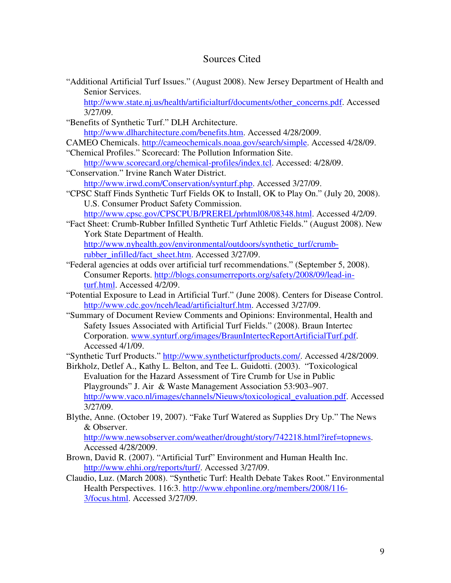#### Sources Cited

"Additional Artificial Turf Issues." (August 2008). New Jersey Department of Health and Senior Services.

http://www.state.nj.us/health/artificialturf/documents/other\_concerns.pdf. Accessed 3/27/09.

- "Benefits of Synthetic Turf." DLH Architecture. http://www.dlharchitecture.com/benefits.htm. Accessed 4/28/2009.
- CAMEO Chemicals. http://cameochemicals.noaa.gov/search/simple. Accessed 4/28/09.
- "Chemical Profiles." Scorecard: The Pollution Information Site. http://www.scorecard.org/chemical-profiles/index.tcl. Accessed: 4/28/09.
- "Conservation." Irvine Ranch Water District. http://www.irwd.com/Conservation/synturf.php. Accessed 3/27/09.
- "CPSC Staff Finds Synthetic Turf Fields OK to Install, OK to Play On." (July 20, 2008). U.S. Consumer Product Safety Commission.

http://www.cpsc.gov/CPSCPUB/PREREL/prhtml08/08348.html. Accessed 4/2/09.

"Fact Sheet: Crumb-Rubber Infilled Synthetic Turf Athletic Fields." (August 2008). New York State Department of Health.

http://www.nyhealth.gov/environmental/outdoors/synthetic\_turf/crumbrubber\_infilled/fact\_sheet.htm. Accessed 3/27/09.

- "Federal agencies at odds over artificial turf recommendations." (September 5, 2008). Consumer Reports. http://blogs.consumerreports.org/safety/2008/09/lead-inturf.html. Accessed 4/2/09.
- "Potential Exposure to Lead in Artificial Turf." (June 2008). Centers for Disease Control. http://www.cdc.gov/nceh/lead/artificialturf.htm. Accessed 3/27/09.
- "Summary of Document Review Comments and Opinions: Environmental, Health and Safety Issues Associated with Artificial Turf Fields." (2008). Braun Intertec Corporation. www.synturf.org/images/BraunIntertecReportArtificialTurf.pdf. Accessed 4/1/09.

"Synthetic Turf Products." http://www.syntheticturfproducts.com/. Accessed 4/28/2009.

- Birkholz, Detlef A., Kathy L. Belton, and Tee L. Guidotti. (2003). "Toxicological Evaluation for the Hazard Assessment of Tire Crumb for Use in Public Playgrounds" J. Air & Waste Management Association 53:903–907. http://www.vaco.nl/images/channels/Nieuws/toxicological\_evaluation.pdf. Accessed 3/27/09.
- Blythe, Anne. (October 19, 2007). "Fake Turf Watered as Supplies Dry Up." The News & Observer.

http://www.newsobserver.com/weather/drought/story/742218.html?iref=topnews. Accessed 4/28/2009.

- Brown, David R. (2007). "Artificial Turf" Environment and Human Health Inc. http://www.ehhi.org/reports/turf/. Accessed 3/27/09.
- Claudio, Luz. (March 2008). "Synthetic Turf: Health Debate Takes Root." Environmental Health Perspectives. 116:3. http://www.ehponline.org/members/2008/116- 3/focus.html. Accessed 3/27/09.